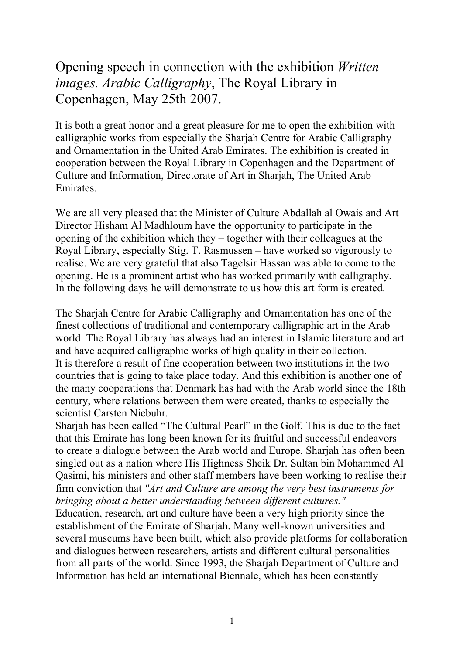Opening speech in connection with the exhibition *Written images. Arabic Calligraphy*, The Royal Library in Copenhagen, May 25th 2007.

It is both a great honor and a great pleasure for me to open the exhibition with calligraphic works from especially the Sharjah Centre for Arabic Calligraphy and Ornamentation in the United Arab Emirates. The exhibition is created in cooperation between the Royal Library in Copenhagen and the Department of Culture and Information, Directorate of Art in Sharjah, The United Arab Emirates.

We are all very pleased that the Minister of Culture Abdallah al Owais and Art Director Hisham Al Madhloum have the opportunity to participate in the opening of the exhibition which they – together with their colleagues at the Royal Library, especially Stig. T. Rasmussen – have worked so vigorously to realise. We are very grateful that also Tagelsir Hassan was able to come to the opening. He is a prominent artist who has worked primarily with calligraphy. In the following days he will demonstrate to us how this art form is created.

The Sharjah Centre for Arabic Calligraphy and Ornamentation has one of the finest collections of traditional and contemporary calligraphic art in the Arab world. The Royal Library has always had an interest in Islamic literature and art and have acquired calligraphic works of high quality in their collection. It is therefore a result of fine cooperation between two institutions in the two countries that is going to take place today. And this exhibition is another one of the many cooperations that Denmark has had with the Arab world since the 18th century, where relations between them were created, thanks to especially the scientist Carsten Niebuhr.

Sharjah has been called "The Cultural Pearl" in the Golf. This is due to the fact that this Emirate has long been known for its fruitful and successful endeavors to create a dialogue between the Arab world and Europe. Sharjah has often been singled out as a nation where His Highness Sheik Dr. Sultan bin Mohammed Al Qasimi, his ministers and other staff members have been working to realise their firm conviction that *"Art and Culture are among the very best instruments for bringing about a better understanding between different cultures."*

Education, research, art and culture have been a very high priority since the establishment of the Emirate of Sharjah. Many well-known universities and several museums have been built, which also provide platforms for collaboration and dialogues between researchers, artists and different cultural personalities from all parts of the world. Since 1993, the Sharjah Department of Culture and Information has held an international Biennale, which has been constantly